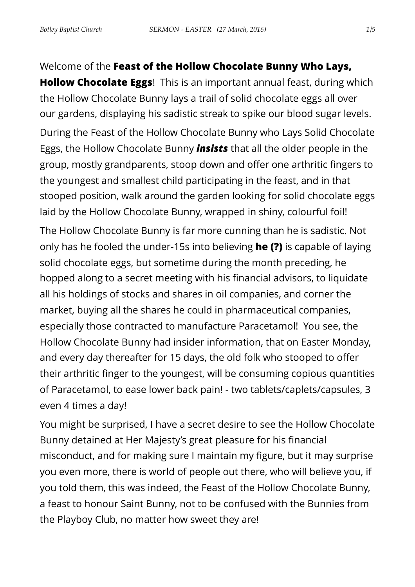Welcome of the **Feast of the Hollow Chocolate Bunny Who Lays,** 

**Hollow Chocolate Eggs**! This is an important annual feast, during which the Hollow Chocolate Bunny lays a trail of solid chocolate eggs all over our gardens, displaying his sadistic streak to spike our blood sugar levels.

During the Feast of the Hollow Chocolate Bunny who Lays Solid Chocolate Eggs, the Hollow Chocolate Bunny *insists* that all the older people in the group, mostly grandparents, stoop down and offer one arthritic fingers to the youngest and smallest child participating in the feast, and in that stooped position, walk around the garden looking for solid chocolate eggs laid by the Hollow Chocolate Bunny, wrapped in shiny, colourful foil!

The Hollow Chocolate Bunny is far more cunning than he is sadistic. Not only has he fooled the under-15s into believing **he (?)** is capable of laying solid chocolate eggs, but sometime during the month preceding, he hopped along to a secret meeting with his financial advisors, to liquidate all his holdings of stocks and shares in oil companies, and corner the market, buying all the shares he could in pharmaceutical companies, especially those contracted to manufacture Paracetamol! You see, the Hollow Chocolate Bunny had insider information, that on Easter Monday, and every day thereafter for 15 days, the old folk who stooped to offer their arthritic finger to the youngest, will be consuming copious quantities of Paracetamol, to ease lower back pain! - two tablets/caplets/capsules, 3 even 4 times a day!

You might be surprised, I have a secret desire to see the Hollow Chocolate Bunny detained at Her Majesty's great pleasure for his financial misconduct, and for making sure I maintain my figure, but it may surprise you even more, there is world of people out there, who will believe you, if you told them, this was indeed, the Feast of the Hollow Chocolate Bunny, a feast to honour Saint Bunny, not to be confused with the Bunnies from the Playboy Club, no matter how sweet they are!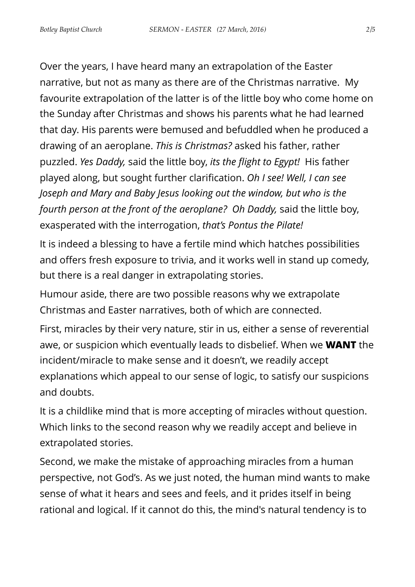Over the years, I have heard many an extrapolation of the Easter narrative, but not as many as there are of the Christmas narrative. My favourite extrapolation of the latter is of the little boy who come home on the Sunday after Christmas and shows his parents what he had learned that day. His parents were bemused and befuddled when he produced a drawing of an aeroplane. *This is Christmas?* asked his father, rather puzzled. *Yes Daddy,* said the little boy, *its the flight to Egypt!* His father played along, but sought further clarification. *Oh I see! Well, I can see Joseph and Mary and Baby Jesus looking out the window, but who is the fourth person at the front of the aeroplane? Oh Daddy,* said the little boy, exasperated with the interrogation, *that's Pontus the Pilate!*

It is indeed a blessing to have a fertile mind which hatches possibilities and offers fresh exposure to trivia, and it works well in stand up comedy, but there is a real danger in extrapolating stories.

Humour aside, there are two possible reasons why we extrapolate Christmas and Easter narratives, both of which are connected.

First, miracles by their very nature, stir in us, either a sense of reverential awe, or suspicion which eventually leads to disbelief. When we **WANT** the incident/miracle to make sense and it doesn't, we readily accept explanations which appeal to our sense of logic, to satisfy our suspicions and doubts.

It is a childlike mind that is more accepting of miracles without question. Which links to the second reason why we readily accept and believe in extrapolated stories.

Second, we make the mistake of approaching miracles from a human perspective, not God's. As we just noted, the human mind wants to make sense of what it hears and sees and feels, and it prides itself in being rational and logical. If it cannot do this, the mind's natural tendency is to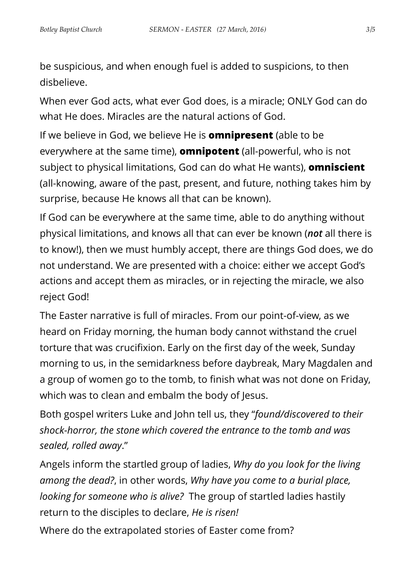be suspicious, and when enough fuel is added to suspicions, to then disbelieve.

When ever God acts, what ever God does, is a miracle; ONLY God can do what He does. Miracles are the natural actions of God.

If we believe in God, we believe He is **omnipresent** (able to be everywhere at the same time), **omnipotent** (all-powerful, who is not subject to physical limitations, God can do what He wants), **omniscient** (all-knowing, aware of the past, present, and future, nothing takes him by surprise, because He knows all that can be known).

If God can be everywhere at the same time, able to do anything without physical limitations, and knows all that can ever be known (*not* all there is to know!), then we must humbly accept, there are things God does, we do not understand. We are presented with a choice: either we accept God's actions and accept them as miracles, or in rejecting the miracle, we also reject God!

The Easter narrative is full of miracles. From our point-of-view, as we heard on Friday morning, the human body cannot withstand the cruel torture that was crucifixion. Early on the first day of the week, Sunday morning to us, in the semidarkness before daybreak, Mary Magdalen and a group of women go to the tomb, to finish what was not done on Friday, which was to clean and embalm the body of Jesus.

Both gospel writers Luke and John tell us, they "*found/discovered to their shock-horror, the stone which covered the entrance to the tomb and was sealed, rolled away*."

Angels inform the startled group of ladies, *Why do you look for the living among the dead?*, in other words, *Why have you come to a burial place, looking for someone who is alive?* The group of startled ladies hastily return to the disciples to declare, *He is risen!*

Where do the extrapolated stories of Easter come from?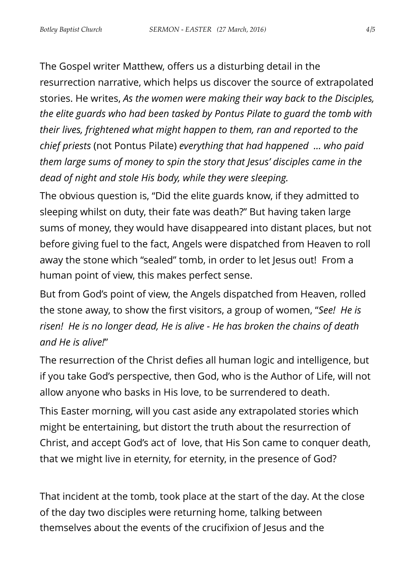The Gospel writer Matthew, offers us a disturbing detail in the resurrection narrative, which helps us discover the source of extrapolated stories. He writes, *As the women were making their way back to the Disciples, the elite guards who had been tasked by Pontus Pilate to guard the tomb with their lives, frightened what might happen to them, ran and reported to the chief priests* (not Pontus Pilate) *everything that had happened … who paid them large sums of money to spin the story that Jesus' disciples came in the dead of night and stole His body, while they were sleeping.* 

The obvious question is, "Did the elite guards know, if they admitted to sleeping whilst on duty, their fate was death?" But having taken large sums of money, they would have disappeared into distant places, but not before giving fuel to the fact, Angels were dispatched from Heaven to roll away the stone which "sealed" tomb, in order to let Jesus out! From a human point of view, this makes perfect sense.

But from God's point of view, the Angels dispatched from Heaven, rolled the stone away, to show the first visitors, a group of women, "*See! He is risen! He is no longer dead, He is alive - He has broken the chains of death and He is alive!*"

The resurrection of the Christ defies all human logic and intelligence, but if you take God's perspective, then God, who is the Author of Life, will not allow anyone who basks in His love, to be surrendered to death.

This Easter morning, will you cast aside any extrapolated stories which might be entertaining, but distort the truth about the resurrection of Christ, and accept God's act of love, that His Son came to conquer death, that we might live in eternity, for eternity, in the presence of God?

That incident at the tomb, took place at the start of the day. At the close of the day two disciples were returning home, talking between themselves about the events of the crucifixion of Jesus and the